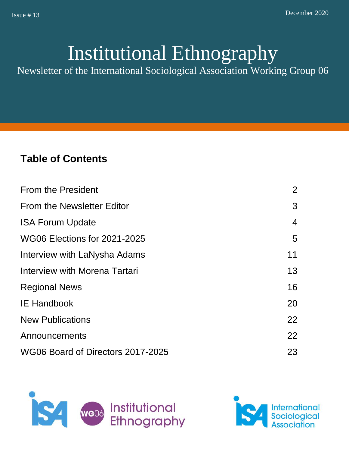# Institutional Ethnography

Newsletter of the International Sociological Association Working Group 06

# **Table of Contents**

| <b>From the President</b>           | $\overline{2}$ |
|-------------------------------------|----------------|
| From the Newsletter Editor          | 3              |
| <b>ISA Forum Update</b>             | $\overline{4}$ |
| <b>WG06 Elections for 2021-2025</b> | 5              |
| Interview with LaNysha Adams        | 11             |
| Interview with Morena Tartari       | 13             |
| <b>Regional News</b>                | 16             |
| <b>IE Handbook</b>                  | 20             |
| <b>New Publications</b>             | 22             |
| Announcements                       | 22             |
| WG06 Board of Directors 2017-2025   | 23             |



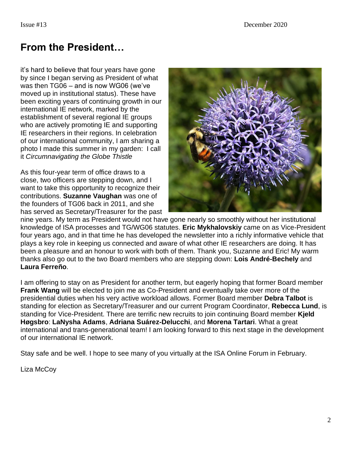# **From the President…**

it's hard to believe that four years have gone by since I began serving as President of what was then TG06 – and is now WG06 (we've moved up in institutional status). These have been exciting years of continuing growth in our international IE network, marked by the establishment of several regional IE groups who are actively promoting IE and supporting IE researchers in their regions. In celebration of our international community, I am sharing a photo I made this summer in my garden: I call it *Circumnavigating the Globe Thistle*

As this four-year term of office draws to a close, two officers are stepping down, and I want to take this opportunity to recognize their contributions. **Suzanne Vaughan** was one of the founders of TG06 back in 2011, and she has served as Secretary/Treasurer for the past



nine years. My term as President would not have gone nearly so smoothly without her institutional knowledge of ISA processes and TG/WG06 statutes. **Eric Mykhalovskiy** came on as Vice-President four years ago, and in that time he has developed the newsletter into a richly informative vehicle that plays a key role in keeping us connected and aware of what other IE researchers are doing. It has been a pleasure and an honour to work with both of them. Thank you, Suzanne and Eric! My warm thanks also go out to the two Board members who are stepping down: **Lois André-Bechely** and **Laura Ferreño**.

I am offering to stay on as President for another term, but eagerly hoping that former Board member **Frank Wang** will be elected to join me as Co-President and eventually take over more of the presidential duties when his very active workload allows. Former Board member **Debra Talbot** is standing for election as Secretary/Treasurer and our current Program Coordinator, **Rebecca Lund**, is standing for Vice-President. There are terrific new recruits to join continuing Board member **Kjeld Høgsbro**: **LaNysha Adams**, **Adriana Suárez-Delucchi**, and **Morena Tartari**. What a great international and trans-generational team! I am looking forward to this next stage in the development of our international IE network.

Stay safe and be well. I hope to see many of you virtually at the ISA Online Forum in February.

Liza McCoy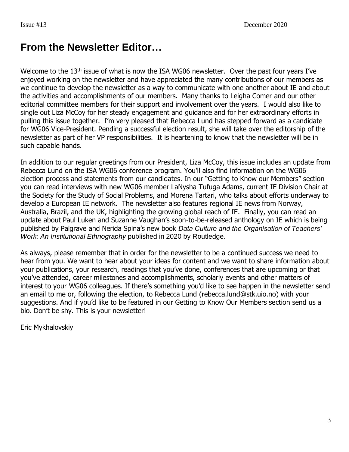# **From the Newsletter Editor…**

Welcome to the 13<sup>th</sup> issue of what is now the ISA WG06 newsletter. Over the past four years I've enjoyed working on the newsletter and have appreciated the many contributions of our members as we continue to develop the newsletter as a way to communicate with one another about IE and about the activities and accomplishments of our members. Many thanks to Leigha Comer and our other editorial committee members for their support and involvement over the years. I would also like to single out Liza McCoy for her steady engagement and guidance and for her extraordinary efforts in pulling this issue together. I'm very pleased that Rebecca Lund has stepped forward as a candidate for WG06 Vice-President. Pending a successful election result, she will take over the editorship of the newsletter as part of her VP responsibilities. It is heartening to know that the newsletter will be in such capable hands.

In addition to our regular greetings from our President, Liza McCoy, this issue includes an update from Rebecca Lund on the ISA WG06 conference program. You'll also find information on the WG06 election process and statements from our candidates. In our "Getting to Know our Members" section you can read interviews with new WG06 member LaNysha Tufuga Adams, current IE Division Chair at the Society for the Study of Social Problems, and Morena Tartari, who talks about efforts underway to develop a European IE network. The newsletter also features regional IE news from Norway, Australia, Brazil, and the UK, highlighting the growing global reach of IE. Finally, you can read an update about Paul Luken and Suzanne Vaughan's soon-to-be-released anthology on IE which is being published by Palgrave and Nerida Spina's new book *Data Culture and the Organisation of Teachers' Work: An Institutional Ethnography* published in 2020 by Routledge.

As always, please remember that in order for the newsletter to be a continued success we need to hear from you. We want to hear about your ideas for content and we want to share information about your publications, your research, readings that you've done, conferences that are upcoming or that you've attended, career milestones and accomplishments, scholarly events and other matters of interest to your WG06 colleagues. If there's something you'd like to see happen in the newsletter send an email to me or, following the election, to Rebecca Lund (rebecca.lund@stk.uio.no) with your suggestions. And if you'd like to be featured in our Getting to Know Our Members section send us a bio. Don't be shy. This is your newsletter!

Eric Mykhalovskiy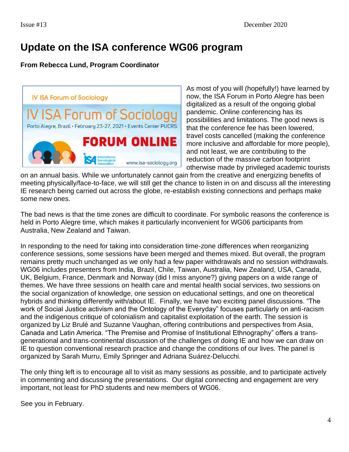# **Update on the ISA conference WG06 program**

#### **From Rebecca Lund, Program Coordinator**



As most of you will (hopefully!) have learned by now, the ISA Forum in Porto Alegre has been digitalized as a result of the ongoing global pandemic. Online conferencing has its possibilities and limitations. The good news is that the conference fee has been lowered, travel costs cancelled (making the conference more inclusive and affordable for more people), and not least, we are contributing to the reduction of the massive carbon footprint otherwise made by privileged academic tourists

on an annual basis. While we unfortunately cannot gain from the creative and energizing benefits of meeting physically/face-to-face, we will still get the chance to listen in on and discuss all the interesting IE research being carried out across the globe, re-establish existing connections and perhaps make some new ones.

The bad news is that the time zones are difficult to coordinate. For symbolic reasons the conference is held in Porto Alegre time, which makes it particularly inconvenient for WG06 participants from Australia, New Zealand and Taiwan.

In responding to the need for taking into consideration time-zone differences when reorganizing conference sessions, some sessions have been merged and themes mixed. But overall, the program remains pretty much unchanged as we only had a few paper withdrawals and no session withdrawals. WG06 includes presenters from India, Brazil, Chile, Taiwan, Australia, New Zealand, USA, Canada, UK, Belgium, France, Denmark and Norway (did I miss anyone?) giving papers on a wide range of themes. We have three sessions on health care and mental health social services, two sessions on the social organization of knowledge, one session on educational settings, and one on theoretical hybrids and thinking differently with/about IE. Finally, we have two exciting panel discussions. "The work of Social Justice activism and the Ontology of the Everyday" focuses particularly on anti-racism and the indigenous critique of colonialism and capitalist exploitation of the earth. The session is organized by Liz Brulé and Suzanne Vaughan, offering contributions and perspectives from Asia, Canada and Latin America. "The Premise and Promise of Institutional Ethnography" offers a transgenerational and trans-continental discussion of the challenges of doing IE and how we can draw on IE to question conventional research practice and change the conditions of our lives. The panel is organized by Sarah Murru, Emily Springer and Adriana Suárez-Delucchi.

The only thing left is to encourage all to visit as many sessions as possible, and to participate actively in commenting and discussing the presentations. Our digital connecting and engagement are very important, not least for PhD students and new members of WG06.

See you in February.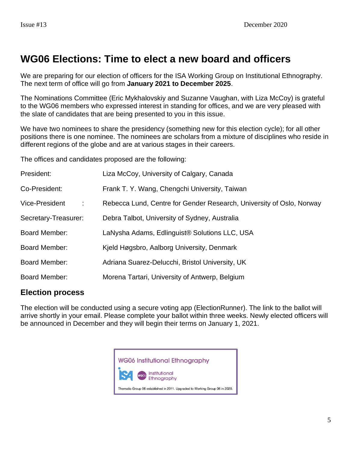# **WG06 Elections: Time to elect a new board and officers**

We are preparing for our election of officers for the ISA Working Group on Institutional Ethnography. The next term of office will go from **January 2021 to December 2025**.

The Nominations Committee (Eric Mykhalovskiy and Suzanne Vaughan, with Liza McCoy) is grateful to the WG06 members who expressed interest in standing for offices, and we are very pleased with the slate of candidates that are being presented to you in this issue.

We have two nominees to share the presidency (something new for this election cycle); for all other positions there is one nominee. The nominees are scholars from a mixture of disciplines who reside in different regions of the globe and are at various stages in their careers.

The offices and candidates proposed are the following:

| President:                 | Liza McCoy, University of Calgary, Canada                            |
|----------------------------|----------------------------------------------------------------------|
| Co-President:              | Frank T. Y. Wang, Chengchi University, Taiwan                        |
| <b>Vice-President</b><br>÷ | Rebecca Lund, Centre for Gender Research, University of Oslo, Norway |
| Secretary-Treasurer:       | Debra Talbot, University of Sydney, Australia                        |
| <b>Board Member:</b>       | LaNysha Adams, Edlinguist <sup>®</sup> Solutions LLC, USA            |
| <b>Board Member:</b>       | Kjeld Høgsbro, Aalborg University, Denmark                           |
| <b>Board Member:</b>       | Adriana Suarez-Delucchi, Bristol University, UK                      |
| Board Member:              | Morena Tartari, University of Antwerp, Belgium                       |

### **Election process**

The election will be conducted using a secure voting app (ElectionRunner). The link to the ballot will arrive shortly in your email. Please complete your ballot within three weeks. Newly elected officers will be announced in December and they will begin their terms on January 1, 2021.

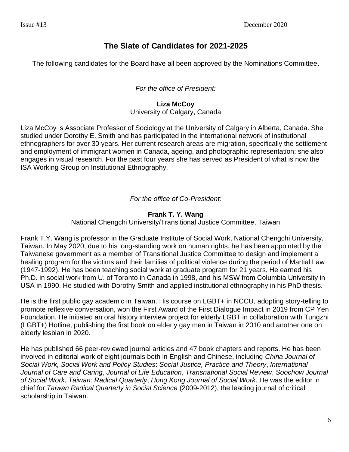### **The Slate of Candidates for 2021-2025**

The following candidates for the Board have all been approved by the Nominations Committee.

#### *For the office of President:*

### **Liza McCoy**

University of Calgary, Canada

Liza McCoy is Associate Professor of Sociology at the University of Calgary in Alberta, Canada. She studied under Dorothy E. Smith and has participated in the international network of institutional ethnographers for over 30 years. Her current research areas are migration, specifically the settlement and employment of immigrant women in Canada, ageing, and photographic representation; she also engages in visual research. For the past four years she has served as President of what is now the ISA Working Group on Institutional Ethnography.

*For the office of Co-President:*

#### **Frank T. Y. Wang**

National Chengchi University/Transitional Justice Committee, Taiwan

Frank T.Y. Wang is professor in the Graduate Institute of Social Work, National Chengchi University, Taiwan. In May 2020, due to his long-standing work on human rights, he has been appointed by the Taiwanese government as a member of Transitional Justice Committee to design and implement a healing program for the victims and their families of political violence during the period of Martial Law (1947-1992). He has been teaching social work at graduate program for 21 years. He earned his Ph.D. in social work from U. of Toronto in Canada in 1998, and his MSW from Columbia University in USA in 1990. He studied with Dorothy Smith and applied institutional ethnography in his PhD thesis.

He is the first public gay academic in Taiwan. His course on LGBT+ in NCCU, adopting story-telling to promote reflexive conversation, won the First Award of the First Dialogue Impact in 2019 from CP Yen Foundation. He initiated an oral history interview project for elderly LGBT in collaboration with Tungzhi (LGBT+) Hotline, publishing the first book on elderly gay men in Taiwan in 2010 and another one on elderly lesbian in 2020.

He has published 66 peer-reviewed journal articles and 47 book chapters and reports. He has been involved in editorial work of eight journals both in English and Chinese, including *China Journal of Social Work, Social Work and Policy Studies*: *Social Justice, Practice and Theory*, *International Journal of Care and Caring*, *Journal of Life Education*, *Transnational Social Review*, *Soochow Journal of Social Work*, *Taiwan: Radical Quarterly*, *Hong Kong Journal of Social Work*. He was the editor in chief for *Taiwan Radical Quarterly in Social Science* (2009-2012), the leading journal of critical scholarship in Taiwan.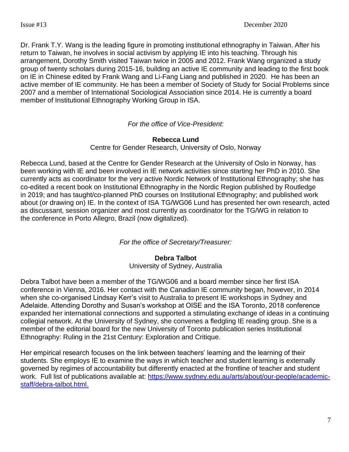Dr. Frank T.Y. Wang is the leading figure in promoting institutional ethnography in Taiwan. After his return to Taiwan, he involves in social activism by applying IE into his teaching. Through his arrangement, Dorothy Smith visited Taiwan twice in 2005 and 2012. Frank Wang organized a study group of twenty scholars during 2015-16, building an active IE community and leading to the first book on IE in Chinese edited by Frank Wang and Li-Fang Liang and published in 2020. He has been an active member of IE community. He has been a member of Society of Study for Social Problems since 2007 and a member of International Sociological Association since 2014. He is currently a board member of Institutional Ethnography Working Group in ISA.

#### *For the office of Vice-President:*

#### **Rebecca Lund**

Centre for Gender Research, University of Oslo, Norway

Rebecca Lund, based at the Centre for Gender Research at the University of Oslo in Norway, has been working with IE and been involved in IE network activities since starting her PhD in 2010. She currently acts as coordinator for the very active Nordic Network of Institutional Ethnography; she has co-edited a recent book on Institutional Ethnography in the Nordic Region published by Routledge in 2019; and has taught/co-planned PhD courses on Institutional Ethnography; and published work about (or drawing on) IE. In the context of ISA TG/WG06 Lund has presented her own research, acted as discussant, session organizer and most currently as coordinator for the TG/WG in relation to the conference in Porto Allegro, Brazil (now digitalized).

#### *For the office of Secretary/Treasurer:*

#### **Debra Talbot**

University of Sydney, Australia

Debra Talbot have been a member of the TG/WG06 and a board member since her first ISA conference in Vienna, 2016. Her contact with the Canadian IE community began, however, in 2014 when she co-organised Lindsay Kerr's visit to Australia to present IE workshops in Sydney and Adelaide. Attending Dorothy and Susan's workshop at OISE and the ISA Toronto, 2018 conference expanded her international connections and supported a stimulating exchange of ideas in a continuing collegial network. At the University of Sydney, she convenes a fledgling IE reading group. She is a member of the editorial board for the new University of Toronto publication series Institutional Ethnography: Ruling in the 21st Century: Exploration and Critique.

Her empirical research focuses on the link between teachers' learning and the learning of their students. She employs IE to examine the ways in which teacher and student learning is externally governed by regimes of accountability but differently enacted at the frontline of teacher and student work. Full list of publications available at: [https://www.sydney.edu.au/arts/about/our-people/academic](https://www.sydney.edu.au/arts/about/our-people/academic-staff/debra-talbot.html)[staff/debra-talbot.html.](https://www.sydney.edu.au/arts/about/our-people/academic-staff/debra-talbot.html)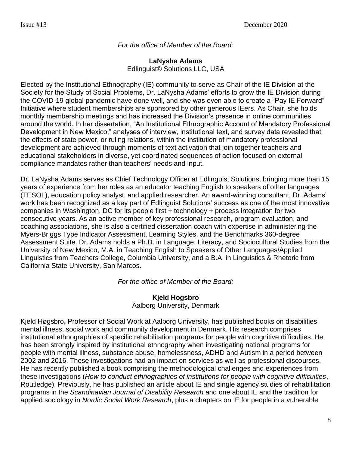#### *For the office of Member of the Board:*

**LaNysha Adams** Edlinguist® Solutions LLC, USA

Elected by the Institutional Ethnography (IE) community to serve as Chair of the IE Division at the Society for the Study of Social Problems, Dr. LaNysha Adams' efforts to grow the IE Division during the COVID-19 global pandemic have done well, and she was even able to create a "Pay IE Forward" Initiative where student memberships are sponsored by other generous IEers. As Chair, she holds monthly membership meetings and has increased the Division's presence in online communities around the world. In her dissertation, "An Institutional Ethnographic Account of Mandatory Professional Development in New Mexico," analyses of interview, institutional text, and survey data revealed that the effects of state power, or ruling relations, within the institution of mandatory professional development are achieved through moments of text activation that join together teachers and educational stakeholders in diverse, yet coordinated sequences of action focused on external compliance mandates rather than teachers' needs and input.

Dr. LaNysha Adams serves as Chief Technology Officer at Edlinguist Solutions, bringing more than 15 years of experience from her roles as an educator teaching English to speakers of other languages (TESOL), education policy analyst, and applied researcher. An award-winning consultant, Dr. Adams' work has been recognized as a key part of Edlinguist Solutions' success as one of the most innovative companies in Washington, DC for its people first + technology + process integration for two consecutive years. As an active member of key professional research, program evaluation, and coaching associations, she is also a certified dissertation coach with expertise in administering the Myers-Briggs Type Indicator Assessment, Learning Styles, and the Benchmarks 360-degree Assessment Suite. Dr. Adams holds a Ph.D. in Language, Literacy, and Sociocultural Studies from the University of New Mexico, M.A. in Teaching English to Speakers of Other Languages/Applied Linguistics from Teachers College, Columbia University, and a B.A. in Linguistics & Rhetoric from California State University, San Marcos.

*For the office of Member of the Board:*

#### **Kjeld Hogsbro**  Aalborg University, Denmark

Kjeld Høgsbro**,** Professor of Social Work at Aalborg University, has published books on disabilities, mental illness, social work and community development in Denmark. His research comprises institutional ethnographies of specific rehabilitation programs for people with cognitive difficulties. He has been strongly inspired by institutional ethnography when investigating national programs for people with mental illness, substance abuse, homelessness, ADHD and Autism in a period between 2002 and 2016. These investigations had an impact on services as well as professional discourses. He has recently published a book comprising the methodological challenges and experiences from these investigations (*How to conduct ethnographies of institutions for people with cognitive difficulties*, Routledge). Previously, he has published an article about IE and single agency studies of rehabilitation programs in the *Scandinavian Journal of Disability Research* and one about IE and the tradition for applied sociology in *Nordic Social Work Research*, plus a chapters on IE for people in a vulnerable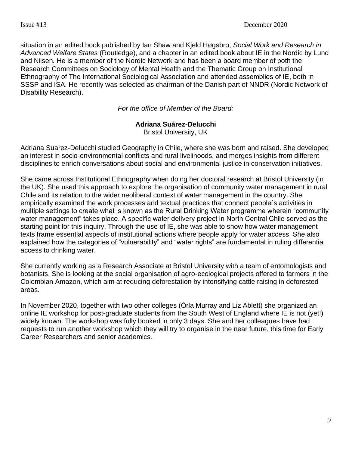situation in an edited book published by Ian Shaw and Kjeld Høgsbro, *Social Work and Research in Advanced Welfare States* (Routledge), and a chapter in an edited book about IE in the Nordic by Lund and Nilsen*.* He is a member of the Nordic Network and has been a board member of both the Research Committees on Sociology of Mental Health and the Thematic Group on Institutional Ethnography of The International Sociological Association and attended assemblies of IE, both in SSSP and ISA. He recently was selected as chairman of the Danish part of NNDR (Nordic Network of Disability Research).

*For the office of Member of the Board:*

#### **Adriana Suárez-Delucchi**

Bristol University, UK

Adriana Suarez-Delucchi studied Geography in Chile, where she was born and raised. She developed an interest in socio-environmental conflicts and rural livelihoods, and merges insights from different disciplines to enrich conversations about social and environmental justice in conservation initiatives.

She came across Institutional Ethnography when doing her doctoral research at Bristol University (in the UK). She used this approach to explore the organisation of community water management in rural Chile and its relation to the wider neoliberal context of water management in the country. She empirically examined the work processes and textual practices that connect people´s activities in multiple settings to create what is known as the Rural Drinking Water programme wherein "community water management" takes place. A specific water delivery project in North Central Chile served as the starting point for this inquiry. Through the use of IE, she was able to show how water management texts frame essential aspects of institutional actions where people apply for water access. She also explained how the categories of "vulnerability" and "water rights" are fundamental in ruling differential access to drinking water.

She currently working as a Research Associate at Bristol University with a team of entomologists and botanists. She is looking at the social organisation of agro-ecological projects offered to farmers in the Colombian Amazon, which aim at reducing deforestation by intensifying cattle raising in deforested areas.

In November 2020, together with two other colleges (Órla Murray and Liz Ablett) she organized an online IE workshop for post-graduate students from the South West of England where IE is not (yet!) widely known. The workshop was fully booked in only 3 days. She and her colleagues have had requests to run another workshop which they will try to organise in the near future, this time for Early Career Researchers and senior academics.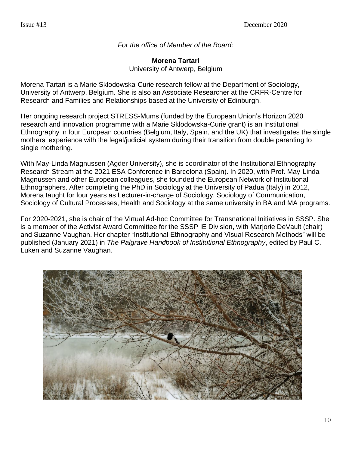*For the office of Member of the Board:*

**Morena Tartari** University of Antwerp, Belgium

Morena Tartari is a Marie Sklodowska-Curie research fellow at the Department of Sociology, University of Antwerp, Belgium. She is also an Associate Researcher at the CRFR-Centre for Research and Families and Relationships based at the University of Edinburgh.

Her ongoing research project STRESS-Mums (funded by the European Union's Horizon 2020 research and innovation programme with a Marie Sklodowska-Curie grant) is an Institutional Ethnography in four European countries (Belgium, Italy, Spain, and the UK) that investigates the single mothers' experience with the legal/judicial system during their transition from double parenting to single mothering.

With May-Linda Magnussen (Agder University), she is coordinator of the Institutional Ethnography Research Stream at the 2021 ESA Conference in Barcelona (Spain). In 2020, with Prof. May-Linda Magnussen and other European colleagues, she founded the European Network of Institutional Ethnographers. After completing the PhD in Sociology at the University of Padua (Italy) in 2012, Morena taught for four years as Lecturer-in-charge of Sociology, Sociology of Communication, Sociology of Cultural Processes, Health and Sociology at the same university in BA and MA programs.

For 2020-2021, she is chair of the Virtual Ad-hoc Committee for Transnational Initiatives in SSSP. She is a member of the Activist Award Committee for the SSSP IE Division, with Marjorie DeVault (chair) and Suzanne Vaughan. Her chapter "Institutional Ethnography and Visual Research Methods" will be published (January 2021) in *The Palgrave Handbook of Institutional Ethnography*, edited by Paul C. Luken and Suzanne Vaughan.

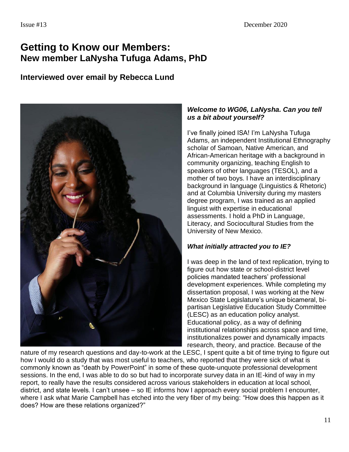# **Getting to Know our Members: New member LaNysha Tufuga Adams, PhD**

### **Interviewed over email by Rebecca Lund**



#### *Welcome to WG06, LaNysha. Can you tell us a bit about yourself?*

I've finally joined ISA! I'm LaNysha Tufuga Adams, an independent Institutional Ethnography scholar of Samoan, Native American, and African-American heritage with a background in community organizing, teaching English to speakers of other languages (TESOL), and a mother of two boys. I have an interdisciplinary background in language (Linguistics & Rhetoric) and at Columbia University during my masters degree program, I was trained as an applied linguist with expertise in educational assessments. I hold a PhD in Language, Literacy, and Sociocultural Studies from the University of New Mexico.

#### *What initially attracted you to IE?*

I was deep in the land of text replication, trying to figure out how state or school-district level policies mandated teachers' professional development experiences. While completing my dissertation proposal, I was working at the New Mexico State Legislature's unique bicameral, bipartisan Legislative Education Study Committee (LESC) as an education policy analyst. Educational policy, as a way of defining institutional relationships across space and time, institutionalizes power and dynamically impacts research, theory, and practice. Because of the

nature of my research questions and day-to-work at the LESC, I spent quite a bit of time trying to figure out how I would do a study that was most useful to teachers, who reported that they were sick of what is commonly known as "death by PowerPoint" in some of these quote-unquote professional development sessions. In the end, I was able to do so but had to incorporate survey data in an IE-kind of way in my report, to really have the results considered across various stakeholders in education at local school, district, and state levels. I can't unsee – so IE informs how I approach every social problem I encounter, where I ask what Marie Campbell has etched into the very fiber of my being: "How does this happen as it does? How are these relations organized?"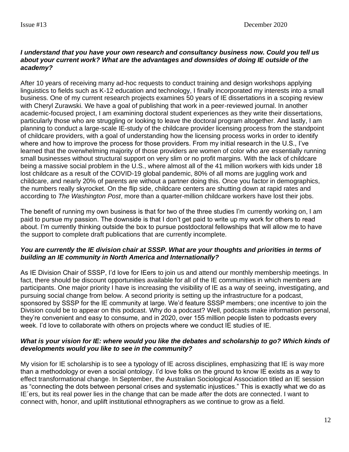#### *I understand that you have your own research and consultancy business now. Could you tell us about your current work? What are the advantages and downsides of doing IE outside of the academy?*

After 10 years of receiving many ad-hoc requests to conduct training and design workshops applying linguistics to fields such as K-12 education and technology, I finally incorporated my interests into a small business. One of my current research projects examines 50 years of IE dissertations in a scoping review with Cheryl Zurawski. We have a goal of publishing that work in a peer-reviewed journal. In another academic-focused project, I am examining doctoral student experiences as they write their dissertations, particularly those who are struggling or looking to leave the doctoral program altogether. And lastly, I am planning to conduct a large-scale IE-study of the childcare provider licensing process from the standpoint of childcare providers, with a goal of understanding how the licensing process works in order to identify where and how to improve the process for those providers. From my initial research in the U.S., I've learned that the overwhelming majority of those providers are women of color who are essentially running small businesses without structural support on very slim or no profit margins. With the lack of childcare being a massive social problem in the U.S., where almost all of the 41 million workers with kids under 18 lost childcare as a result of the COVID-19 global pandemic, 80% of all moms are juggling work and childcare, and nearly 20% of parents are without a partner doing this. Once you factor in demographics, the numbers really skyrocket. On the flip side, childcare centers are shutting down at rapid rates and according to *The Washington Post*, more than a quarter-million childcare workers have lost their jobs.

The benefit of running my own business is that for two of the three studies I'm currently working on, I am paid to pursue my passion. The downside is that I don't get paid to write up my work for others to read about. I'm currently thinking outside the box to pursue postdoctoral fellowships that will allow me to have the support to complete draft publications that are currently incomplete.

#### *You are currently the IE division chair at SSSP. What are your thoughts and priorities in terms of building an IE community in North America and Internationally?*

As IE Division Chair of SSSP, I'd love for IEers to join us and attend our monthly membership meetings. In fact, there should be discount opportunities available for all of the IE communities in which members are participants. One major priority I have is increasing the visibility of IE as a way of seeing, investigating, and pursuing social change from below. A second priority is setting up the infrastructure for a podcast, sponsored by SSSP for the IE community at large. We'd feature SSSP members; one incentive to join the Division could be to appear on this podcast. Why do a podcast? Well, podcasts make information personal, they're convenient and easy to consume, and in 2020, over 155 million people listen to podcasts every week. I'd love to collaborate with others on projects where we conduct IE studies of IE.

#### *What is your vision for IE: where would you like the debates and scholarship to go? Which kinds of developments would you like to see in the community?*

My vision for IE scholarship is to see a typology of IE across disciplines, emphasizing that IE is way more than a methodology or even a social ontology. I'd love folks on the ground to know IE exists as a way to effect transformational change. In September, the Australian Sociological Association titled an IE session as "connecting the dots between personal crises and systematic injustices." This is exactly what we do as IE´ers, but its real power lies in the change that can be made *after* the dots are connected. I want to connect with, honor, and uplift institutional ethnographers as we continue to grow as a field.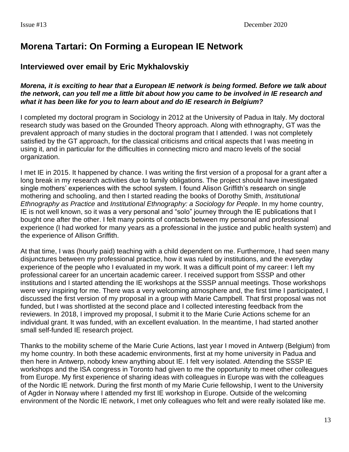## **Morena Tartari: On Forming a European IE Network**

### **Interviewed over email by Eric Mykhalovskiy**

#### *Morena, it is exciting to hear that a European IE network is being formed. Before we talk about the network, can you tell me a little bit about how you came to be involved in IE research and what it has been like for you to learn about and do IE research in Belgium?*

I completed my doctoral program in Sociology in 2012 at the University of Padua in Italy. My doctoral research study was based on the Grounded Theory approach. Along with ethnography, GT was the prevalent approach of many studies in the doctoral program that I attended. I was not completely satisfied by the GT approach, for the classical criticisms and critical aspects that I was meeting in using it, and in particular for the difficulties in connecting micro and macro levels of the social organization.

I met IE in 2015. It happened by chance. I was writing the first version of a proposal for a grant after a long break in my research activities due to family obligations. The project should have investigated single mothers' experiences with the school system. I found Alison Griffith's research on single mothering and schooling, and then I started reading the books of Dorothy Smith, *Institutional Ethnography as Practice* and *Institutional Ethnography: a Sociology for People*. In my home country, IE is not well known, so it was a very personal and "solo" journey through the IE publications that I bought one after the other. I felt many points of contacts between my personal and professional experience (I had worked for many years as a professional in the justice and public health system) and the experience of Allison Griffith.

At that time, I was (hourly paid) teaching with a child dependent on me. Furthermore, I had seen many disjunctures between my professional practice, how it was ruled by institutions, and the everyday experience of the people who I evaluated in my work. It was a difficult point of my career: I left my professional career for an uncertain academic career. I received support from SSSP and other institutions and I started attending the IE workshops at the SSSP annual meetings. Those workshops were very inspiring for me. There was a very welcoming atmosphere and, the first time I participated, I discussed the first version of my proposal in a group with Marie Campbell. That first proposal was not funded, but I was shortlisted at the second place and I collected interesting feedback from the reviewers. In 2018, I improved my proposal, I submit it to the Marie Curie Actions scheme for an individual grant. It was funded, with an excellent evaluation. In the meantime, I had started another small self-funded IE research project.

Thanks to the mobility scheme of the Marie Curie Actions, last year I moved in Antwerp (Belgium) from my home country. In both these academic environments, first at my home university in Padua and then here in Antwerp, nobody knew anything about IE. I felt very isolated. Attending the SSSP IE workshops and the ISA congress in Toronto had given to me the opportunity to meet other colleagues from Europe. My first experience of sharing ideas with colleagues in Europe was with the colleagues of the Nordic IE network. During the first month of my Marie Curie fellowship, I went to the University of Agder in Norway where I attended my first IE workshop in Europe. Outside of the welcoming environment of the Nordic IE network, I met only colleagues who felt and were really isolated like me.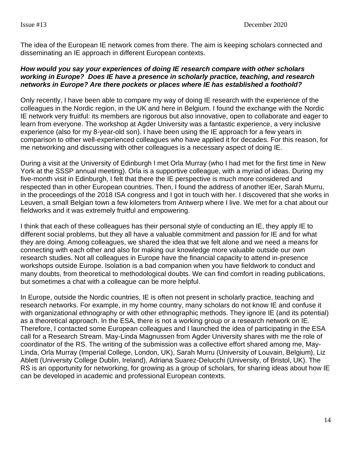The idea of the European IE network comes from there. The aim is keeping scholars connected and disseminating an IE approach in different European contexts.

#### *How would you say your experiences of doing IE research compare with other scholars working in Europe? Does IE have a presence in scholarly practice, teaching, and research networks in Europe? Are there pockets or places where IE has established a foothold?*

Only recently, I have been able to compare my way of doing IE research with the experience of the colleagues in the Nordic region, in the UK and here in Belgium. I found the exchange with the Nordic IE network very fruitful: its members are rigorous but also innovative, open to collaborate and eager to learn from everyone. The workshop at Agder University was a fantastic experience, a very inclusive experience (also for my 8-year-old son). I have been using the IE approach for a few years in comparison to other well-experienced colleagues who have applied it for decades. For this reason, for me networking and discussing with other colleagues is a necessary aspect of doing IE.

During a visit at the University of Edinburgh I met Orla Murray (who I had met for the first time in New York at the SSSP annual meeting). Orla is a supportive colleague, with a myriad of ideas. During my five-month visit in Edinburgh, I felt that there the IE perspective is much more considered and respected than in other European countries. Then, I found the address of another IEer, Sarah Murru, in the proceedings of the 2018 ISA congress and I got in touch with her. I discovered that she works in Leuven, a small Belgian town a few kilometers from Antwerp where I live. We met for a chat about our fieldworks and it was extremely fruitful and empowering.

I think that each of these colleagues has their personal style of conducting an IE, they apply IE to different social problems, but they all have a valuable commitment and passion for IE and for what they are doing. Among colleagues, we shared the idea that we felt alone and we need a means for connecting with each other and also for making our knowledge more valuable outside our own research studies. Not all colleagues in Europe have the financial capacity to attend in-presence workshops outside Europe. Isolation is a bad companion when you have fieldwork to conduct and many doubts, from theoretical to methodological doubts. We can find comfort in reading publications, but sometimes a chat with a colleague can be more helpful.

In Europe, outside the Nordic countries, IE is often not present in scholarly practice, teaching and research networks. For example, in my home country, many scholars do not know IE and confuse it with organizational ethnography or with other ethnographic methods. They ignore IE (and its potential) as a theoretical approach. In the ESA, there is not a working group or a research network on IE. Therefore, I contacted some European colleagues and I launched the idea of participating in the ESA call for a Research Stream. May-Linda Magnussen from Agder University shares with me the role of coordinator of the RS. The writing of the submission was a collective effort shared among me, May-Linda, Orla Murray (Imperial College, London, UK), Sarah Murru (University of Louvain, Belgium), Liz Ablett (University College Dublin, Ireland), Adriana Suarez-Delucchi (University, of Bristol, UK). The RS is an opportunity for networking, for growing as a group of scholars, for sharing ideas about how IE can be developed in academic and professional European contexts.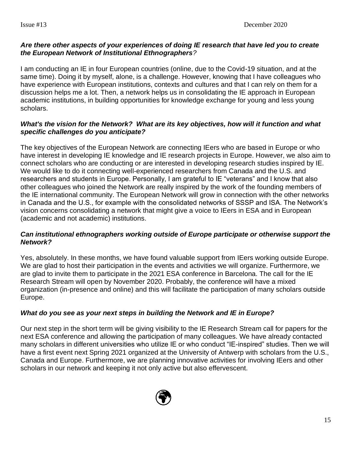#### *Are there other aspects of your experiences of doing IE research that have led you to create the European Network of Institutional Ethnographers?*

I am conducting an IE in four European countries (online, due to the Covid-19 situation, and at the same time). Doing it by myself, alone, is a challenge. However, knowing that I have colleagues who have experience with European institutions, contexts and cultures and that I can rely on them for a discussion helps me a lot. Then, a network helps us in consolidating the IE approach in European academic institutions, in building opportunities for knowledge exchange for young and less young scholars.

#### *What's the vision for the Network? What are its key objectives, how will it function and what specific challenges do you anticipate?*

The key objectives of the European Network are connecting IEers who are based in Europe or who have interest in developing IE knowledge and IE research projects in Europe. However, we also aim to connect scholars who are conducting or are interested in developing research studies inspired by IE. We would like to do it connecting well-experienced researchers from Canada and the U.S. and researchers and students in Europe. Personally, I am grateful to IE "veterans" and I know that also other colleagues who joined the Network are really inspired by the work of the founding members of the IE international community. The European Network will grow in connection with the other networks in Canada and the U.S., for example with the consolidated networks of SSSP and ISA. The Network's vision concerns consolidating a network that might give a voice to IEers in ESA and in European (academic and not academic) institutions.

#### *Can institutional ethnographers working outside of Europe participate or otherwise support the Network?*

Yes, absolutely. In these months, we have found valuable support from IEers working outside Europe. We are glad to host their participation in the events and activities we will organize. Furthermore, we are glad to invite them to participate in the 2021 ESA conference in Barcelona. The call for the IE Research Stream will open by November 2020. Probably, the conference will have a mixed organization (in-presence and online) and this will facilitate the participation of many scholars outside Europe.

#### *What do you see as your next steps in building the Network and IE in Europe?*

Our next step in the short term will be giving visibility to the IE Research Stream call for papers for the next ESA conference and allowing the participation of many colleagues. We have already contacted many scholars in different universities who utilize IE or who conduct "IE-inspired" studies. Then we will have a first event next Spring 2021 organized at the University of Antwerp with scholars from the U.S., Canada and Europe. Furthermore, we are planning innovative activities for involving IEers and other scholars in our network and keeping it not only active but also effervescent.

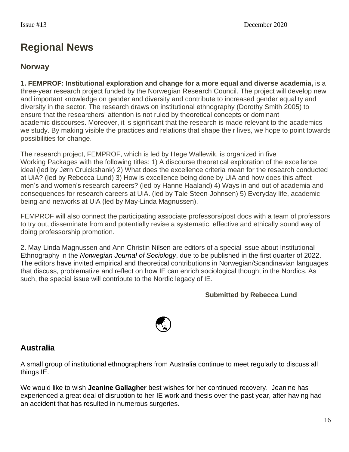# **Regional News**

### **Norway**

**1. FEMPROF: Institutional exploration and change for a more equal and diverse academia,** is a three-year research project funded by the Norwegian Research Council. The project will develop new and important knowledge on gender and diversity and contribute to increased gender equality and diversity in the sector. The research draws on institutional ethnography (Dorothy Smith 2005) to ensure that the researchers' attention is not ruled by theoretical concepts or dominant academic discourses. Moreover, it is significant that the research is made relevant to the academics we study. By making visible the practices and relations that shape their lives, we hope to point towards possibilities for change.

The research project, FEMPROF, which is led by Hege Wallewik, is organized in five Working Packages with the following titles: 1) A discourse theoretical exploration of the excellence ideal (led by Jørn Cruickshank) 2) What does the excellence criteria mean for the research conducted at UiA? (led by Rebecca Lund) 3) How is excellence being done by UiA and how does this affect men's and women's research careers? (led by Hanne Haaland) 4) Ways in and out of academia and consequences for research careers at UiA. (led by Tale Steen-Johnsen) 5) Everyday life, academic being and networks at UiA (led by May-Linda Magnussen).

FEMPROF will also connect the participating associate professors/post docs with a team of professors to try out, disseminate from and potentially revise a systematic, effective and ethically sound way of doing professorship promotion.

2. May-Linda Magnussen and Ann Christin Nilsen are editors of a special issue about Institutional Ethnography in the *Norwegian Journal of Sociology*, due to be published in the first quarter of 2022. The editors have invited empirical and theoretical contributions in Norwegian/Scandinavian languages that discuss, problematize and reflect on how IE can enrich sociological thought in the Nordics. As such, the special issue will contribute to the Nordic legacy of IE.

#### **Submitted by Rebecca Lund**



### **Australia**

A small group of institutional ethnographers from Australia continue to meet regularly to discuss all things IE.

We would like to wish **Jeanine Gallagher** best wishes for her continued recovery. Jeanine has experienced a great deal of disruption to her IE work and thesis over the past year, after having had an accident that has resulted in numerous surgeries.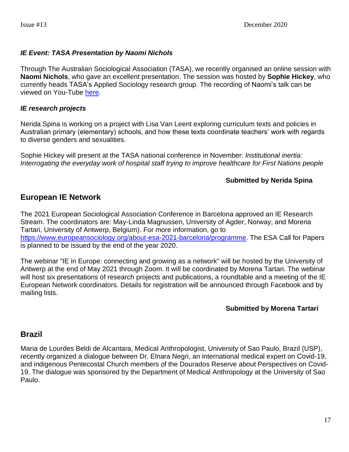#### *IE Event: TASA Presentation by Naomi Nichols*

Through The Australian Sociological Association (TASA), we recently organised an online session with **Naomi Nichols**, who gave an excellent presentation. The session was hosted by **Sophie Hickey**, who currently heads TASA's Applied Sociology research group. The recording of Naomi's talk can be viewed on You-Tube [here.](https://www.youtube.com/watch?v=B7C6yovK59o&feature=youtu.be)

#### *IE research projects*

Nerida Spina is working on a project with Lisa Van Leent exploring curriculum texts and policies in Australian primary (elementary) schools, and how these texts coordinate teachers' work with regards to diverse genders and sexualities.

Sophie Hickey will present at the TASA national conference in November: *Institutional inertia: Interrogating the everyday work of hospital staff trying to improve healthcare for First Nations people*

#### **Submitted by Nerida Spina**

### **European IE Network**

The 2021 European Sociological Association Conference in Barcelona approved an IE Research Stream. The coordinators are: May-Linda Magnussen, University of Agder, Norway, and Morena Tartari, University of Antwerp, Belgium). For more information, go to [https://www.europeansociology.org/about-esa-2021-barcelona/programme.](https://www.europeansociology.org/about-esa-2021-barcelona/programme) The ESA Call for Papers is planned to be issued by the end of the year 2020.

The webinar "IE in Europe: connecting and growing as a network" will be hosted by the University of Antwerp at the end of May 2021 through Zoom. It will be coordinated by Morena Tartari. The webinar will host six presentations of research projects and publications, a roundtable and a meeting of the IE European Network coordinators. Details for registration will be announced through Facebook and by mailing lists.

#### **Submitted by Morena Tartari**

#### **Brazil**

Maria de Lourdes Beldi de Alcantara, Medical Anthropologist, University of Sao Paulo, Brazil (USP), recently organized a dialogue between Dr. Elnara Negri, an international medical expert on Covid-19, and indigenous Pentecostal Church members of the Dourados Reserve about Perspectives on Covid-19. The dialogue was sponsored by the Department of Medical Anthropology at the University of Sao Paulo.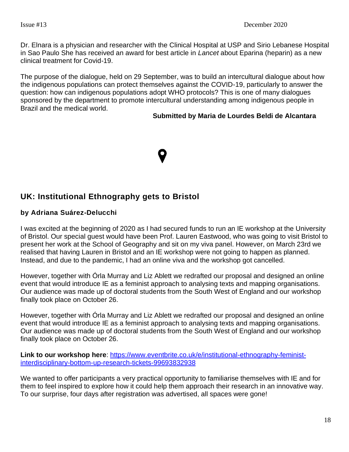Dr. Elnara is a physician and researcher with the Clinical Hospital at USP and Sirio Lebanese Hospital in Sao Paulo She has received an award for best article in *Lancet* about Eparina (heparin) as a new clinical treatment for Covid-19.

The purpose of the dialogue, held on 29 September, was to build an intercultural dialogue about how the indigenous populations can protect themselves against the COVID-19, particularly to answer the question: how can indigenous populations adopt WHO protocols? This is one of many dialogues sponsored by the department to promote intercultural understanding among indigenous people in Brazil and the medical world.

#### **Submitted by Maria de Lourdes Beldi de Alcantara**

### **UK: Institutional Ethnography gets to Bristol**

#### **by Adriana Suárez-Delucchi**

I was excited at the beginning of 2020 as I had secured funds to run an IE workshop at the University of Bristol. Our special guest would have been Prof. Lauren Eastwood, who was going to visit Bristol to present her work at the School of Geography and sit on my viva panel. However, on March 23rd we realised that having Lauren in Bristol and an IE workshop were not going to happen as planned. Instead, and due to the pandemic, I had an online viva and the workshop got cancelled.

However, together with Órla Murray and Liz Ablett we redrafted our proposal and designed an online event that would introduce IE as a feminist approach to analysing texts and mapping organisations. Our audience was made up of doctoral students from the South West of England and our workshop finally took place on October 26.

However, together with Órla Murray and Liz Ablett we redrafted our proposal and designed an online event that would introduce IE as a feminist approach to analysing texts and mapping organisations. Our audience was made up of doctoral students from the South West of England and our workshop finally took place on October 26.

**Link to our workshop here**: [https://www.eventbrite.co.uk/e/institutional-ethnography-feminist](https://www.eventbrite.co.uk/e/institutional-ethnography-feminist-interdisciplinary-bottom-up-research-tickets-99693832938)[interdisciplinary-bottom-up-research-tickets-99693832938](https://www.eventbrite.co.uk/e/institutional-ethnography-feminist-interdisciplinary-bottom-up-research-tickets-99693832938)

We wanted to offer participants a very practical opportunity to familiarise themselves with IE and for them to feel inspired to explore how it could help them approach their research in an innovative way. To our surprise, four days after registration was advertised, all spaces were gone!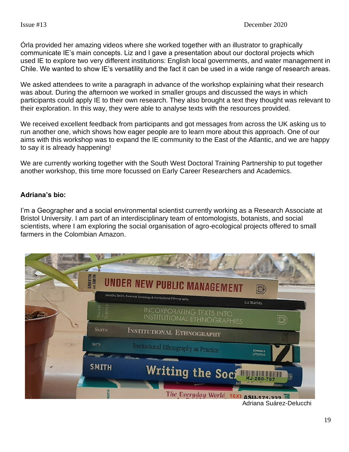Órla provided her amazing videos where she worked together with an illustrator to graphically communicate IE's main concepts. Liz and I gave a presentation about our doctoral projects which used IE to explore two very different institutions: English local governments, and water management in Chile. We wanted to show IE's versatility and the fact it can be used in a wide range of research areas.

We asked attendees to write a paragraph in advance of the workshop explaining what their research was about. During the afternoon we worked in smaller groups and discussed the ways in which participants could apply IE to their own research. They also brought a text they thought was relevant to their exploration. In this way, they were able to analyse texts with the resources provided.

We received excellent feedback from participants and got messages from across the UK asking us to run another one, which shows how eager people are to learn more about this approach. One of our aims with this workshop was to expand the IE community to the East of the Atlantic, and we are happy to say it is already happening!

We are currently working together with the South West Doctoral Training Partnership to put together another workshop, this time more focussed on Early Career Researchers and Academics.

#### **Adriana's bio:**

I'm a Geographer and a social environmental scientist currently working as a Research Associate at Bristol University. I am part of an interdisciplinary team of entomologists, botanists, and social scientists, where I am exploring the social organisation of agro-ecological projects offered to small farmers in the Colombian Amazon.

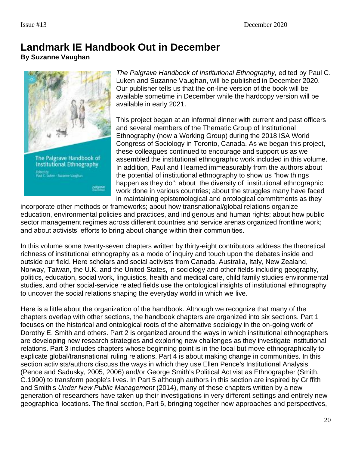# **Landmark IE Handbook Out in December**

**By Suzanne Vaughan**



*The Palgrave Handbook of Institutional Ethnography,* edited by Paul C. Luken and Suzanne Vaughan, will be published in December 2020. Our publisher tells us that the on-line version of the book will be available sometime in December while the hardcopy version will be available in early 2021.

This project began at an informal dinner with current and past officers and several members of the Thematic Group of Institutional Ethnography (now a Working Group) during the 2018 ISA World Congress of Sociology in Toronto, Canada. As we began this project, these colleagues continued to encourage and support us as we assembled the institutional ethnographic work included in this volume. In addition, Paul and I learned immeasurably from the authors about the potential of institutional ethnography to show us "how things happen as they do": about the diversity of institutional ethnographic work done in various countries; about the struggles many have faced in maintaining epistemological and ontological commitments as they

incorporate other methods or frameworks; about how transnational/global relations organize education, environmental policies and practices, and indigenous and human rights; about how public sector management regimes across different countries and service arenas organized frontline work; and about activists' efforts to bring about change within their communities.

In this volume some twenty-seven chapters written by thirty-eight contributors address the theoretical richness of institutional ethnography as a mode of inquiry and touch upon the debates inside and outside our field. Here scholars and social activists from Canada, Australia, Italy, New Zealand, Norway, Taiwan, the U.K. and the United States, in sociology and other fields including geography, politics, education, social work, linguistics, health and medical care, child family studies environmental studies, and other social-service related fields use the ontological insights of institutional ethnography to uncover the social relations shaping the everyday world in which we live.

Here is a little about the organization of the handbook. Although we recognize that many of the chapters overlap with other sections, the handbook chapters are organized into six sections. Part 1 focuses on the historical and ontological roots of the alternative sociology in the on-going work of Dorothy E. Smith and others. Part 2 is organized around the ways in which institutional ethnographers are developing new research strategies and exploring new challenges as they investigate institutional relations. Part 3 includes chapters whose beginning point is in the local but move ethnographically to explicate global/transnational ruling relations. Part 4 is about making change in communities. In this section activists/authors discuss the ways in which they use Ellen Pence's Institutional Analysis (Pence and Sadusky, 2005, 2006) and/or George Smith's Political Activist as Ethnographer (Smith, G.1990) to transform people's lives. In Part 5 although authors in this section are inspired by Griffith and Smith's *Under New Public Management* (2014), many of these chapters written by a new generation of researchers have taken up their investigations in very different settings and entirely new geographical locations. The final section, Part 6, bringing together new approaches and perspectives,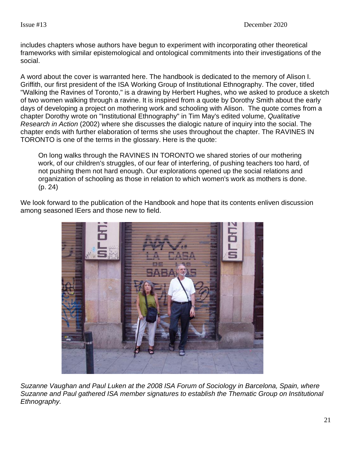includes chapters whose authors have begun to experiment with incorporating other theoretical frameworks with similar epistemological and ontological commitments into their investigations of the social.

A word about the cover is warranted here. The handbook is dedicated to the memory of Alison I. Griffith, our first president of the ISA Working Group of Institutional Ethnography. The cover, titled "Walking the Ravines of Toronto," is a drawing by Herbert Hughes, who we asked to produce a sketch of two women walking through a ravine. It is inspired from a quote by Dorothy Smith about the early days of developing a project on mothering work and schooling with Alison. The quote comes from a chapter Dorothy wrote on "Institutional Ethnography" in Tim May's edited volume, *Qualitative Research in Action* (2002) where she discusses the dialogic nature of inquiry into the social. The chapter ends with further elaboration of terms she uses throughout the chapter. The RAVINES IN TORONTO is one of the terms in the glossary. Here is the quote:

On long walks through the RAVINES IN TORONTO we shared stories of our mothering work, of our children's struggles, of our fear of interfering, of pushing teachers too hard, of not pushing them not hard enough. Our explorations opened up the social relations and organization of schooling as those in relation to which women's work as mothers is done. (p. 24)

We look forward to the publication of the Handbook and hope that its contents enliven discussion among seasoned IEers and those new to field.



*Suzanne Vaughan and Paul Luken at the 2008 ISA Forum of Sociology in Barcelona, Spain, where Suzanne and Paul gathered ISA member signatures to establish the Thematic Group on Institutional Ethnography.*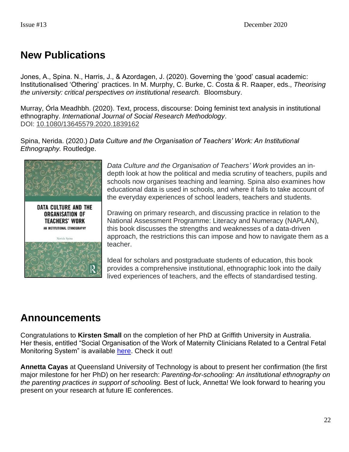# **New Publications**

Jones, A., Spina. N., Harris, J., & Azordagen, J. (2020). Governing the 'good' casual academic: Institutionalised 'Othering' practices. In M. Murphy, C. Burke, C. Costa & R. Raaper, eds., *Theorising the university: critical perspectives on institutional research.* Bloomsbury.

Murray, Órla Meadhbh. (2020). Text, process, discourse: Doing feminist text analysis in institutional ethnography. *International Journal of Social Research Methodology*. DOI: [10.1080/13645579.2020.1839162](https://doi.org/10.1080/13645579.2020.1839162)

Spina, Nerida. (2020.) *Data Culture and the Organisation of Teachers' Work: An Institutional Ethnography.* Routledge.



*Data Culture and the Organisation of Teachers' Work* provides an indepth look at how the political and media scrutiny of teachers, pupils and schools now organises teaching and learning. Spina also examines how educational data is used in schools, and where it fails to take account of the everyday experiences of school leaders, teachers and students.

Drawing on primary research, and discussing practice in relation to the National Assessment Programme: Literacy and Numeracy (NAPLAN), this book discusses the strengths and weaknesses of a data-driven approach, the restrictions this can impose and how to navigate them as a teacher.

Ideal for scholars and postgraduate students of education, this book provides a comprehensive institutional, ethnographic look into the daily lived experiences of teachers, and the effects of standardised testing.

# **Announcements**

Congratulations to **Kirsten Small** on the completion of her PhD at Griffith University in Australia. Her thesis, entitled "Social Organisation of the Work of Maternity Clinicians Related to a Central Fetal Monitoring System" is available [here.](https://research-repository.griffith.edu.au/handle/10072/392850) Check it out!

**Annetta Cayas** at Queensland University of Technology is about to present her confirmation (the first major milestone for her PhD) on her research: *Parenting-for-schooling: An institutional ethnography on the parenting practices in support of schooling.* Best of luck, Annetta! We look forward to hearing you present on your research at future IE conferences.